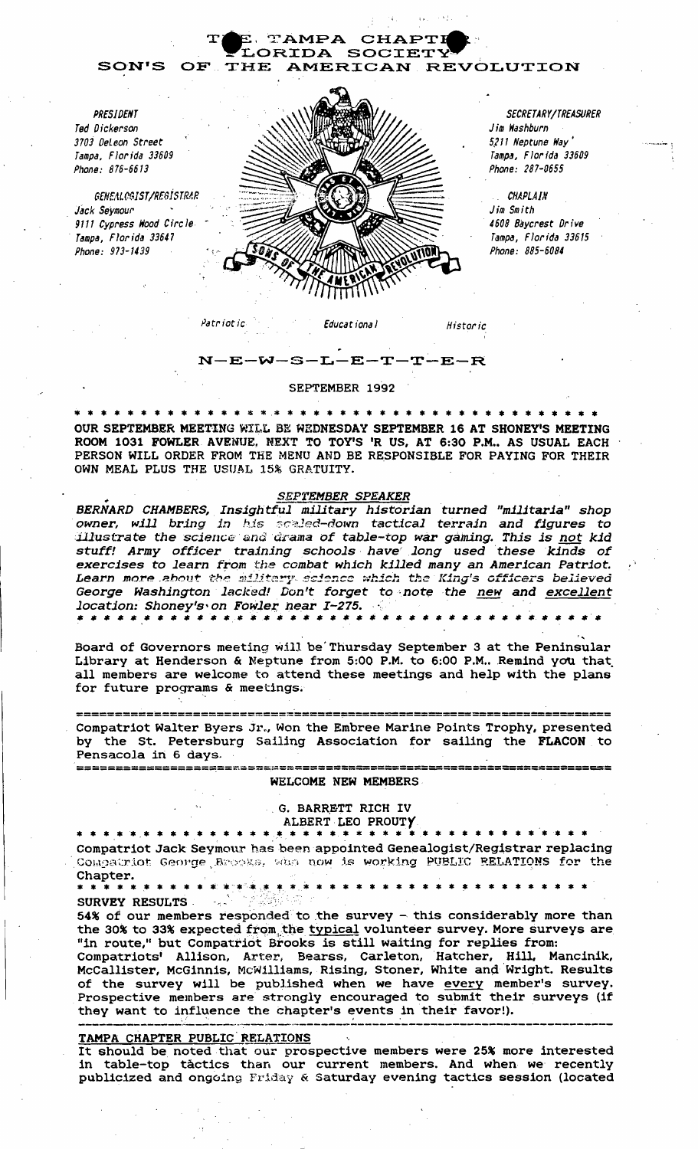

SEPTEMBER 1992

N-E-W-S-L-E-T-T-E-R

\* \* \* \* \* \* \* \* \* \* \* \* \* \* \* \* \* \* \* OUR SEPTEMBER MEETING WIL.L BE WEDNESDAY SEPTEMBER 16 AT SHONEY'S MEETING ROOM 1031 FOWLER AVENUE, NEXT TO TOY'S 'R US, AT 6:30 P.M., AS USUAL EACH PERSON WILL ORDER FROM THE MENU AND BE RESPONSIBLE FOR PAYING FOR THEIR OWN MEAL PLUS THE USUAL 15% GRATUITY.

### SEPTEMBER SPEAKER

• • • • • • • • • •• • • •• • • • • • • • • • • • • • • •• • • • •• • • •• location: Shoney's' on Fowler:: near *I-275.* . '. BERNARD CHAMBERS, Insightful military historian turned "militaria" shop owner, will bring in his scaled-down tactical terrain and figures to illustrate the *science'* and drama of table-top war gaining. This is not kid stuff! Army officer training schools have long used these kinds of exercises to learn from the combat which killed many an American Patriot. Learn more about the military science which the King's officers believed George Washington lacked! Don't forget to note the new and excellent

., Board of Governors meeting will be'Thursday September 3 at the Peninsular Library at Henderson & Neptune from 5:00 P.M. to 6:00 P.M.. Remind you that all members are welcome to attend these meetings and help with the plans for future programs & meetings.

=======================~==~=======~========================= =========== Compatriot Walter Byers Jr., Won the Embree Marine Points Trophy, presented by the St. Petersburg Sailing Association for sailing the FLACON to Pensacola in 6 days,

### WELCOME NEW MEMBERS

====================~=================================== ===============

## G. BARRETT RICH IV

# ALBERT LEO PROUTY

Compatriot Jack Seymour has been appointed Genealogist/Registrar replacing Compairiot George Brooks, who now is working PUBLIC RELATIONS for the Chapter.

\* \* \* \* \* \* \* \* \* \* \* \* \* \* \* \* \* \* \* \* \* \* \* \* \* \* \* \* \* \* \* \* \* \* \* SURVEY RESULTS

54% of our members responded to the survey - this considerably more than the 30% to 33% expected from the typical volunteer survey. More surveys are "in route," but Compatriot Brooks is still waiting for replies from:

Compatriots' Allison, Arter, Bearss, Carleton, Hatcher, Hill, Mancinik, McCallister, McGinnis, McWilliams, Rising, Stoner, White and Wright. Results of the survey will be published when we have every member's survey.<br>Prospective members are strongly encouraged to submit their surveys (if they want to influence the chapter's events in their favor!).

#### TAMPA CHAPTER PUBLIC'RELATIONS

<u>TAMPA CHAPTER PUBLIC RELATIONS</u><br>It should be noted that our prospective members were 25% more interested in table-top tactics than our current members. And when we recently publicized and ongoing Friday & Saturday evening tactics session (located